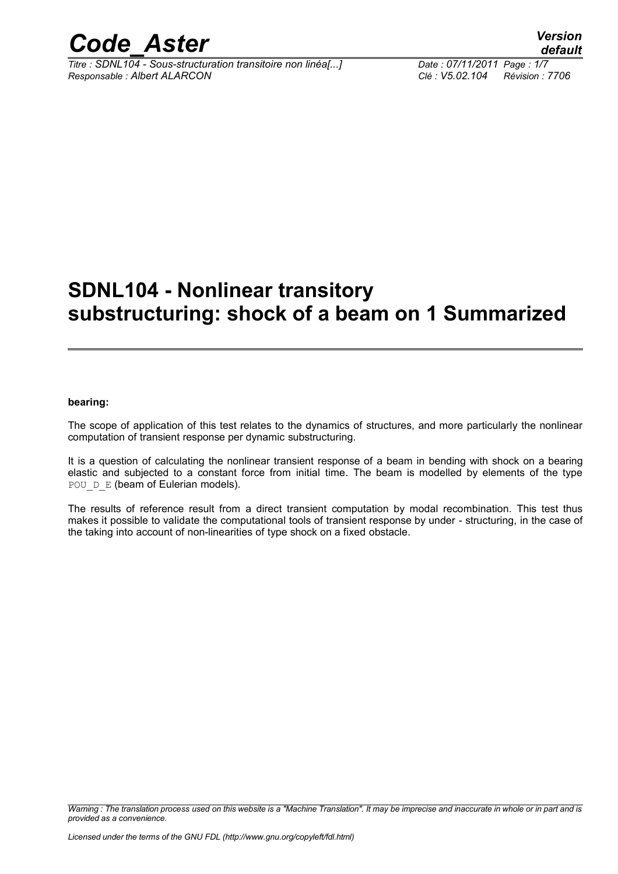

*Titre : SDNL104 - Sous-structuration transitoire non linéa[...] Date : 07/11/2011 Page : 1/7 Responsable : Albert ALARCON Clé : V5.02.104 Révision : 7706*

### **SDNL104 - Nonlinear transitory substructuring: shock of a beam on 1 Summarized**

#### **bearing:**

The scope of application of this test relates to the dynamics of structures, and more particularly the nonlinear computation of transient response per dynamic substructuring.

It is a question of calculating the nonlinear transient response of a beam in bending with shock on a bearing elastic and subjected to a constant force from initial time. The beam is modelled by elements of the type POU D E (beam of Eulerian models).

The results of reference result from a direct transient computation by modal recombination. This test thus makes it possible to validate the computational tools of transient response by under - structuring, in the case of the taking into account of non-linearities of type shock on a fixed obstacle.

*Warning : The translation process used on this website is a "Machine Translation". It may be imprecise and inaccurate in whole or in part and is provided as a convenience.*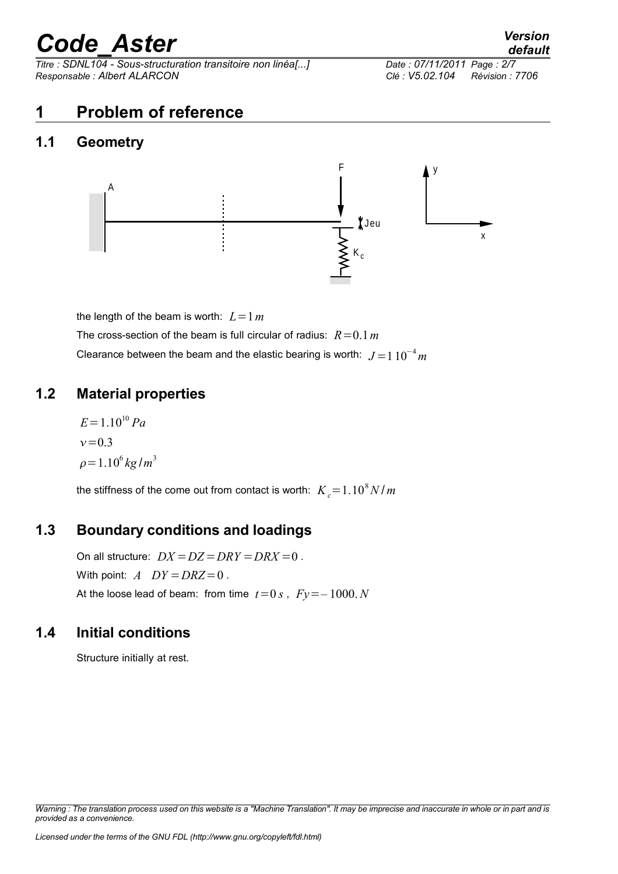*Titre : SDNL104 - Sous-structuration transitoire non linéa[...] Date : 07/11/2011 Page : 2/7 Responsable : Albert ALARCON Clé : V5.02.104 Révision : 7706*

### **1 Problem of reference**

#### **1.1 Geometry**



the length of the beam is worth:  $L=1 m$ The cross-section of the beam is full circular of radius:  $R=0.1 m$ Clearance between the beam and the elastic bearing is worth:  $J = 110^{-4}$  *m* 

#### **1.2 Material properties**

 $E=1.10^{10} Pa$  $v = 0.3$  $\rho = 1.10^6 \, kg/m^3$ 

the stiffness of the come out from contact is worth:  $\overline{K}_c\text{=}1.10^8\,N$  /  $m$ 

#### **1.3 Boundary conditions and loadings**

On all structure:  $DX = DZ = DRY = DRX = 0$ . With point:  $A$   $DY = DRZ = 0$ . At the loose lead of beam: from time  $t=0 s$ ,  $Fy=-1000 N$ 

#### **1.4 Initial conditions**

Structure initially at rest.

*Licensed under the terms of the GNU FDL (http://www.gnu.org/copyleft/fdl.html)*

*Warning : The translation process used on this website is a "Machine Translation". It may be imprecise and inaccurate in whole or in part and is provided as a convenience.*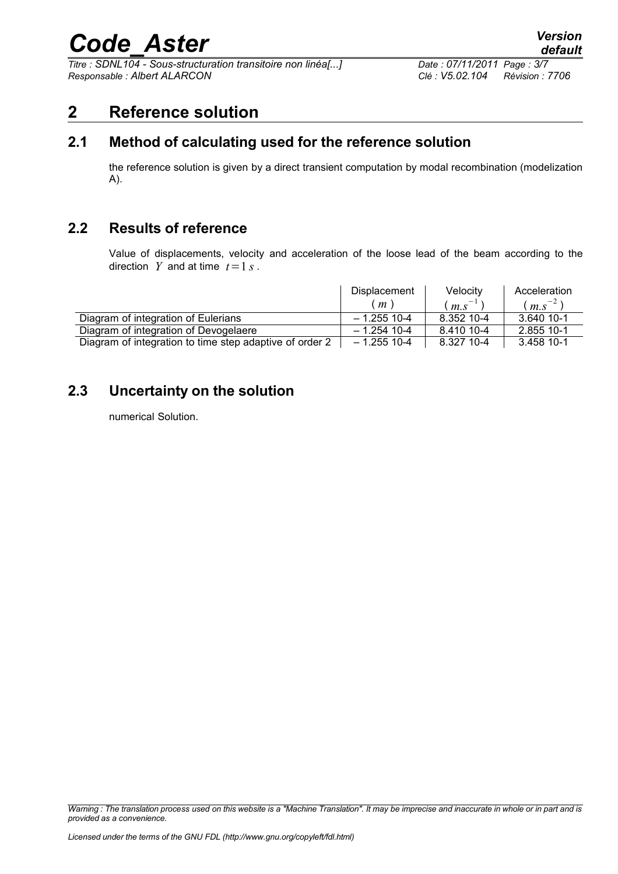*Titre : SDNL104 - Sous-structuration transitoire non linéa[...] Date : 07/11/2011 Page : 3/7 Responsable : Albert ALARCON Clé : V5.02.104 Révision : 7706*

#### **2 Reference solution**

#### **2.1 Method of calculating used for the reference solution**

the reference solution is given by a direct transient computation by modal recombination (modelization A).

#### **2.2 Results of reference**

Value of displacements, velocity and acceleration of the loose lead of the beam according to the direction *Y* and at time  $t = 1 s$ .

|                                                         | Displacement   | Velocity                  | Acceleration |
|---------------------------------------------------------|----------------|---------------------------|--------------|
|                                                         | m <sub>1</sub> | $\cdot$ m.s <sup>-1</sup> | $(m.s^{-2})$ |
| Diagram of integration of Eulerians                     | $-1.255$ 10-4  | 8.352 10-4                | 3.640 10-1   |
| Diagram of integration of Devogelaere                   | $-1.254$ 10-4  | 8.410 10-4                | 2.855 10-1   |
| Diagram of integration to time step adaptive of order 2 | $-1.255$ 10-4  | 8.327 10-4                | 3.458 10-1   |

#### **2.3 Uncertainty on the solution**

numerical Solution.

*Warning : The translation process used on this website is a "Machine Translation". It may be imprecise and inaccurate in whole or in part and is provided as a convenience.*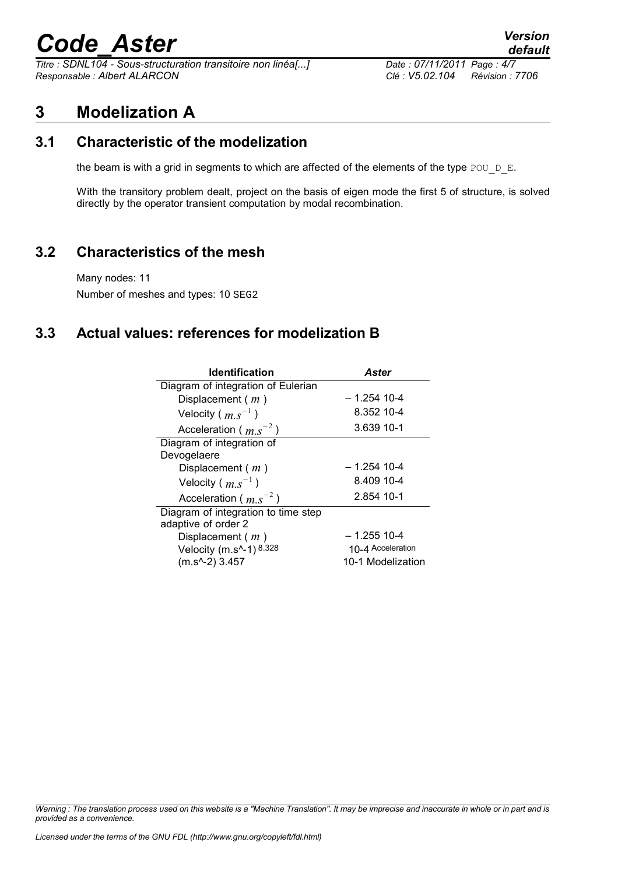*Titre : SDNL104 - Sous-structuration transitoire non linéa[...] Date : 07/11/2011 Page : 4/7 Responsable : Albert ALARCON Clé : V5.02.104 Révision : 7706*

*default*

#### **3 Modelization A**

#### **3.1 Characteristic of the modelization**

the beam is with a grid in segments to which are affected of the elements of the type POU  $D$  E.

With the transitory problem dealt, project on the basis of eigen mode the first 5 of structure, is solved directly by the operator transient computation by modal recombination.

#### **3.2 Characteristics of the mesh**

Many nodes: 11 Number of meshes and types: 10 SEG2

#### **3.3 Actual values: references for modelization B**

| <b>Identification</b>               | Aster             |
|-------------------------------------|-------------------|
| Diagram of integration of Eulerian  |                   |
| Displacement $(m)$                  | – 1.254 10-4      |
| Velocity ( $m.s^{-1}$ )             | 8.352 10-4        |
| Acceleration ( $m.s^{-2}$ )         | 3.639 10-1        |
| Diagram of integration of           |                   |
| Devogelaere                         |                   |
| Displacement $(m)$                  | $-1.254$ 10-4     |
| Velocity ( $m.s^{-1}$ )             | 8.409 10-4        |
| Acceleration ( $m.s^{-2}$ )         | 2.854 10-1        |
| Diagram of integration to time step |                   |
| adaptive of order 2                 |                   |
| Displacement $(m)$                  | $-1.255$ 10-4     |
| Velocity (m.s^-1) 8.328             | 10-4 Acceleration |
| $(m.s^{-2})$ 3.457                  | 10-1 Modelization |

*Warning : The translation process used on this website is a "Machine Translation". It may be imprecise and inaccurate in whole or in part and is provided as a convenience.*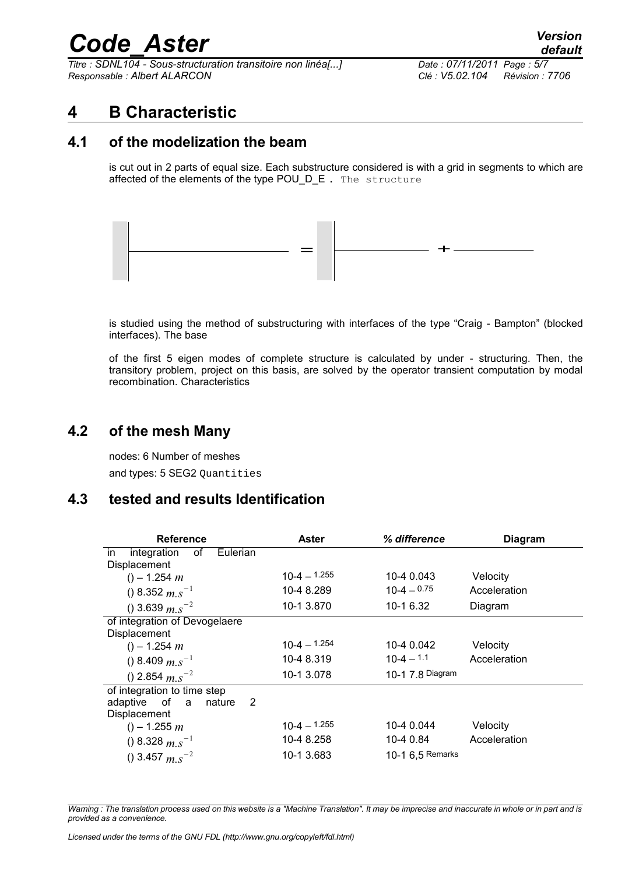*Titre : SDNL104 - Sous-structuration transitoire non linéa[...] Date : 07/11/2011 Page : 5/7 Responsable : Albert ALARCON Clé : V5.02.104 Révision : 7706*

#### **4 B Characteristic**

#### **4.1 of the modelization the beam**

is cut out in 2 parts of equal size. Each substructure considered is with a grid in segments to which are affected of the elements of the type POU\_D\_E. The structure



is studied using the method of substructuring with interfaces of the type "Craig - Bampton" (blocked interfaces). The base

of the first 5 eigen modes of complete structure is calculated by under - structuring. Then, the transitory problem, project on this basis, are solved by the operator transient computation by modal recombination. Characteristics

#### **4.2 of the mesh Many**

nodes: 6 Number of meshes and types: 5 SEG2 Ouantities

#### **4.3 tested and results Identification**

| <b>Reference</b>                     | Aster            | % difference     | <b>Diagram</b> |
|--------------------------------------|------------------|------------------|----------------|
| Eulerian<br>integration<br>of<br>in. |                  |                  |                |
| Displacement                         |                  |                  |                |
| $() - 1.254 m$                       | $10-4 - 1.255$   | 10-4 0.043       | Velocity       |
| () 8.352 $m.s^{-1}$                  | 10-4 8.289       | $10-4 = 0.75$    | Acceleration   |
| () 3.639 $m.s^{-2}$                  | 10-1 3.870       | 10-1 6.32        | Diagram        |
| of integration of Devogelaere        |                  |                  |                |
| Displacement                         |                  |                  |                |
| $() - 1.254 m$                       | $10-4 - 1.254$   | 10-4 0.042       | Velocity       |
| () 8.409 $m.s^{-1}$                  | 10-4 8.319       | $10 - 4 = 1.1$   | Acceleration   |
| () 2.854 $m.s^{-2}$                  | 10-1 3.078       | 10-1 7.8 Diagram |                |
| of integration to time step          |                  |                  |                |
| of a<br>2<br>adaptive<br>nature      |                  |                  |                |
| Displacement                         |                  |                  |                |
| $() - 1.255 m$                       | $10 - 4 - 1.255$ | 10-4 0.044       | Velocity       |
| () 8.328 $m.s^{-1}$                  | 10-4 8.258       | 10-4 0.84        | Acceleration   |
| () 3.457 $m.s^{-2}$                  | 10-1 3.683       | 10-1 6,5 Remarks |                |

*Warning : The translation process used on this website is a "Machine Translation". It may be imprecise and inaccurate in whole or in part and is provided as a convenience.*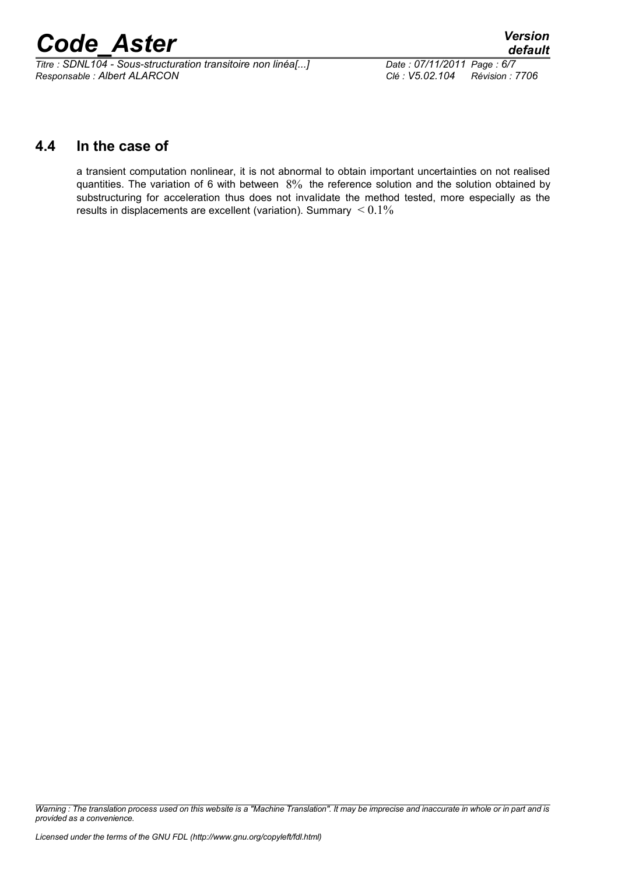*Titre : SDNL104 - Sous-structuration transitoire non linéa[...] Date : 07/11/2011 Page : 6/7 Responsable : Albert ALARCON Clé : V5.02.104 Révision : 7706*

#### **4.4 In the case of**

a transient computation nonlinear, it is not abnormal to obtain important uncertainties on not realised quantities. The variation of 6 with between 8% the reference solution and the solution obtained by substructuring for acceleration thus does not invalidate the method tested, more especially as the results in displacements are excellent (variation). Summary  $\leq 0.1\%$ 

*Warning : The translation process used on this website is a "Machine Translation". It may be imprecise and inaccurate in whole or in part and is provided as a convenience.*